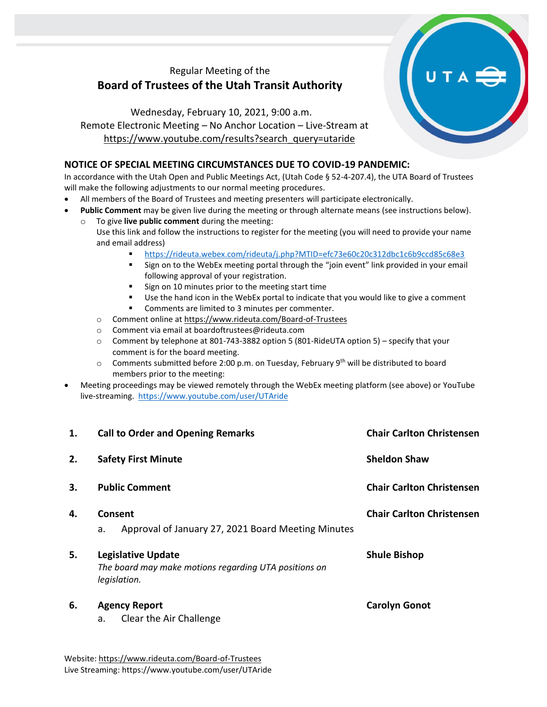## Regular Meeting of the **Board of Trustees of the Utah Transit Authority**

Wednesday, February 10, 2021, 9:00 a.m. Remote Electronic Meeting – No Anchor Location – Live-Stream at [https://www.youtube.com/results?search\\_query=utaride](https://www.youtube.com/results?search_query=utaride)

## **NOTICE OF SPECIAL MEETING CIRCUMSTANCES DUE TO COVID-19 PANDEMIC:**

In accordance with the Utah Open and Public Meetings Act, (Utah Code § 52-4-207.4), the UTA Board of Trustees will make the following adjustments to our normal meeting procedures.

- All members of the Board of Trustees and meeting presenters will participate electronically.
- **Public Comment** may be given live during the meeting or through alternate means (see instructions below).
	- To give live public comment during the meeting: Use this link and follow the instructions to register for the meeting (you will need to provide your name and email address)
		- <https://rideuta.webex.com/rideuta/j.php?MTID=efc73e60c20c312dbc1c6b9ccd85c68e3>
		- Sign on to the WebEx meeting portal through the "join event" link provided in your email following approval of your registration.
		- Sign on 10 minutes prior to the meeting start time
		- Use the hand icon in the WebEx portal to indicate that you would like to give a comment
		- Comments are limited to 3 minutes per commenter.
		- o Comment online a[t https://www.rideuta.com/Board-of-Trustees](https://www.rideuta.com/Board-of-Trustees)
		- o Comment via email at [boardoftrustees@rideuta.com](mailto:boardoftrustees@rideuta.com)
		- $\circ$  Comment by telephone at 801-743-3882 option 5 (801-RideUTA option 5) specify that your comment is for the board meeting.
		- $\circ$  Comments submitted before 2:00 p.m. on Tuesday, February 9<sup>th</sup> will be distributed to board members prior to the meeting:
- Meeting proceedings may be viewed remotely through the WebEx meeting platform (see above) or YouTube live-streaming. <https://www.youtube.com/user/UTAride>

| 1. | <b>Call to Order and Opening Remarks</b>                                                           | <b>Chair Carlton Christensen</b> |
|----|----------------------------------------------------------------------------------------------------|----------------------------------|
| 2. | <b>Safety First Minute</b>                                                                         | <b>Sheldon Shaw</b>              |
| 3. | <b>Public Comment</b>                                                                              | <b>Chair Carlton Christensen</b> |
| 4. | Consent<br>Approval of January 27, 2021 Board Meeting Minutes<br>a.                                | <b>Chair Carlton Christensen</b> |
| 5. | <b>Legislative Update</b><br>The board may make motions regarding UTA positions on<br>legislation. | <b>Shule Bishop</b>              |
| 6. | <b>Agency Report</b><br>Clear the Air Challenge<br>a.                                              | <b>Carolyn Gonot</b>             |